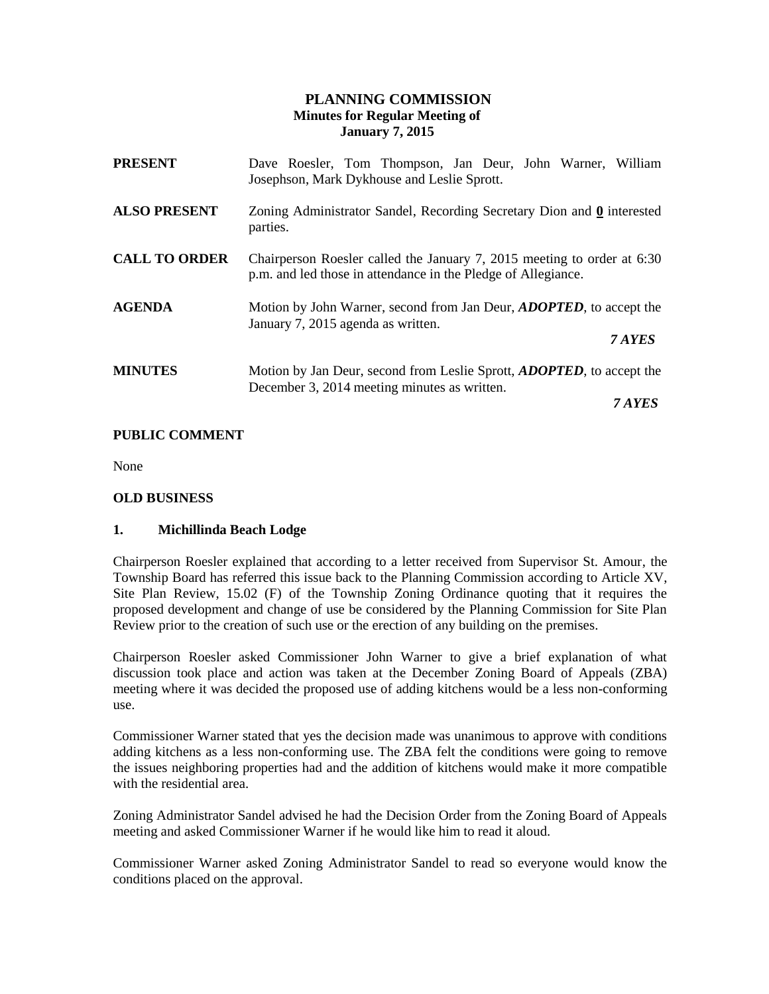# **PLANNING COMMISSION Minutes for Regular Meeting of January 7, 2015**

| <b>PRESENT</b>       | Dave Roesler, Tom Thompson, Jan Deur, John Warner, William<br>Josephson, Mark Dykhouse and Leslie Sprott.                                |
|----------------------|------------------------------------------------------------------------------------------------------------------------------------------|
| <b>ALSO PRESENT</b>  | Zoning Administrator Sandel, Recording Secretary Dion and 0 interested<br>parties.                                                       |
| <b>CALL TO ORDER</b> | Chairperson Roesler called the January 7, 2015 meeting to order at 6:30<br>p.m. and led those in attendance in the Pledge of Allegiance. |
| <b>AGENDA</b>        | Motion by John Warner, second from Jan Deur, <i>ADOPTED</i> , to accept the<br>January 7, 2015 agenda as written.                        |
|                      | 7 AYES                                                                                                                                   |
| <b>MINUTES</b>       | Motion by Jan Deur, second from Leslie Sprott, <i>ADOPTED</i> , to accept the<br>December 3, 2014 meeting minutes as written.            |
|                      | 7 AYES                                                                                                                                   |

## **PUBLIC COMMENT**

None

### **OLD BUSINESS**

### **1. Michillinda Beach Lodge**

Chairperson Roesler explained that according to a letter received from Supervisor St. Amour, the Township Board has referred this issue back to the Planning Commission according to Article XV, Site Plan Review, 15.02 (F) of the Township Zoning Ordinance quoting that it requires the proposed development and change of use be considered by the Planning Commission for Site Plan Review prior to the creation of such use or the erection of any building on the premises.

Chairperson Roesler asked Commissioner John Warner to give a brief explanation of what discussion took place and action was taken at the December Zoning Board of Appeals (ZBA) meeting where it was decided the proposed use of adding kitchens would be a less non-conforming use.

Commissioner Warner stated that yes the decision made was unanimous to approve with conditions adding kitchens as a less non-conforming use. The ZBA felt the conditions were going to remove the issues neighboring properties had and the addition of kitchens would make it more compatible with the residential area.

Zoning Administrator Sandel advised he had the Decision Order from the Zoning Board of Appeals meeting and asked Commissioner Warner if he would like him to read it aloud.

Commissioner Warner asked Zoning Administrator Sandel to read so everyone would know the conditions placed on the approval.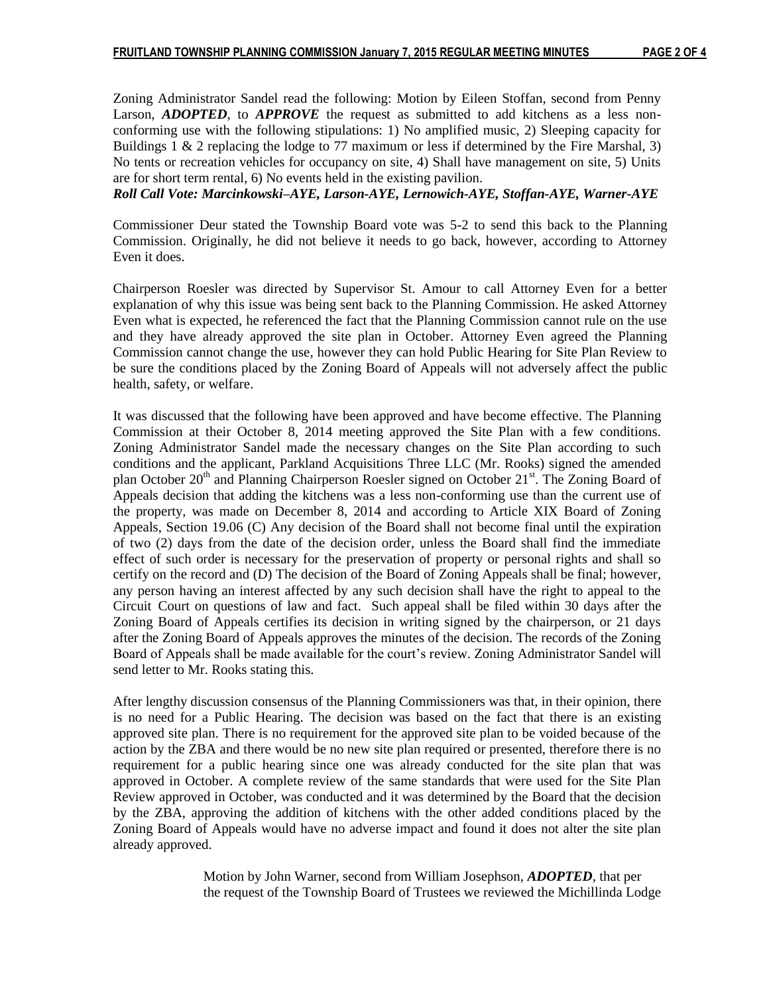Zoning Administrator Sandel read the following: Motion by Eileen Stoffan, second from Penny Larson, *ADOPTED*, to *APPROVE* the request as submitted to add kitchens as a less nonconforming use with the following stipulations: 1) No amplified music, 2) Sleeping capacity for Buildings  $1 \& 2$  replacing the lodge to 77 maximum or less if determined by the Fire Marshal, 3) No tents or recreation vehicles for occupancy on site, 4) Shall have management on site, 5) Units are for short term rental, 6) No events held in the existing pavilion.

*Roll Call Vote: Marcinkowski–AYE, Larson-AYE, Lernowich-AYE, Stoffan-AYE, Warner-AYE*

Commissioner Deur stated the Township Board vote was 5-2 to send this back to the Planning Commission. Originally, he did not believe it needs to go back, however, according to Attorney Even it does.

Chairperson Roesler was directed by Supervisor St. Amour to call Attorney Even for a better explanation of why this issue was being sent back to the Planning Commission. He asked Attorney Even what is expected, he referenced the fact that the Planning Commission cannot rule on the use and they have already approved the site plan in October. Attorney Even agreed the Planning Commission cannot change the use, however they can hold Public Hearing for Site Plan Review to be sure the conditions placed by the Zoning Board of Appeals will not adversely affect the public health, safety, or welfare.

It was discussed that the following have been approved and have become effective. The Planning Commission at their October 8, 2014 meeting approved the Site Plan with a few conditions. Zoning Administrator Sandel made the necessary changes on the Site Plan according to such conditions and the applicant, Parkland Acquisitions Three LLC (Mr. Rooks) signed the amended plan October 20<sup>th</sup> and Planning Chairperson Roesler signed on October 21<sup>st</sup>. The Zoning Board of Appeals decision that adding the kitchens was a less non-conforming use than the current use of the property, was made on December 8, 2014 and according to Article XIX Board of Zoning Appeals, Section 19.06 (C) Any decision of the Board shall not become final until the expiration of two (2) days from the date of the decision order, unless the Board shall find the immediate effect of such order is necessary for the preservation of property or personal rights and shall so certify on the record and (D) The decision of the Board of Zoning Appeals shall be final; however, any person having an interest affected by any such decision shall have the right to appeal to the Circuit Court on questions of law and fact. Such appeal shall be filed within 30 days after the Zoning Board of Appeals certifies its decision in writing signed by the chairperson, or 21 days after the Zoning Board of Appeals approves the minutes of the decision. The records of the Zoning Board of Appeals shall be made available for the court's review. Zoning Administrator Sandel will send letter to Mr. Rooks stating this.

After lengthy discussion consensus of the Planning Commissioners was that, in their opinion, there is no need for a Public Hearing. The decision was based on the fact that there is an existing approved site plan. There is no requirement for the approved site plan to be voided because of the action by the ZBA and there would be no new site plan required or presented, therefore there is no requirement for a public hearing since one was already conducted for the site plan that was approved in October. A complete review of the same standards that were used for the Site Plan Review approved in October, was conducted and it was determined by the Board that the decision by the ZBA, approving the addition of kitchens with the other added conditions placed by the Zoning Board of Appeals would have no adverse impact and found it does not alter the site plan already approved.

> Motion by John Warner, second from William Josephson, *ADOPTED*, that per the request of the Township Board of Trustees we reviewed the Michillinda Lodge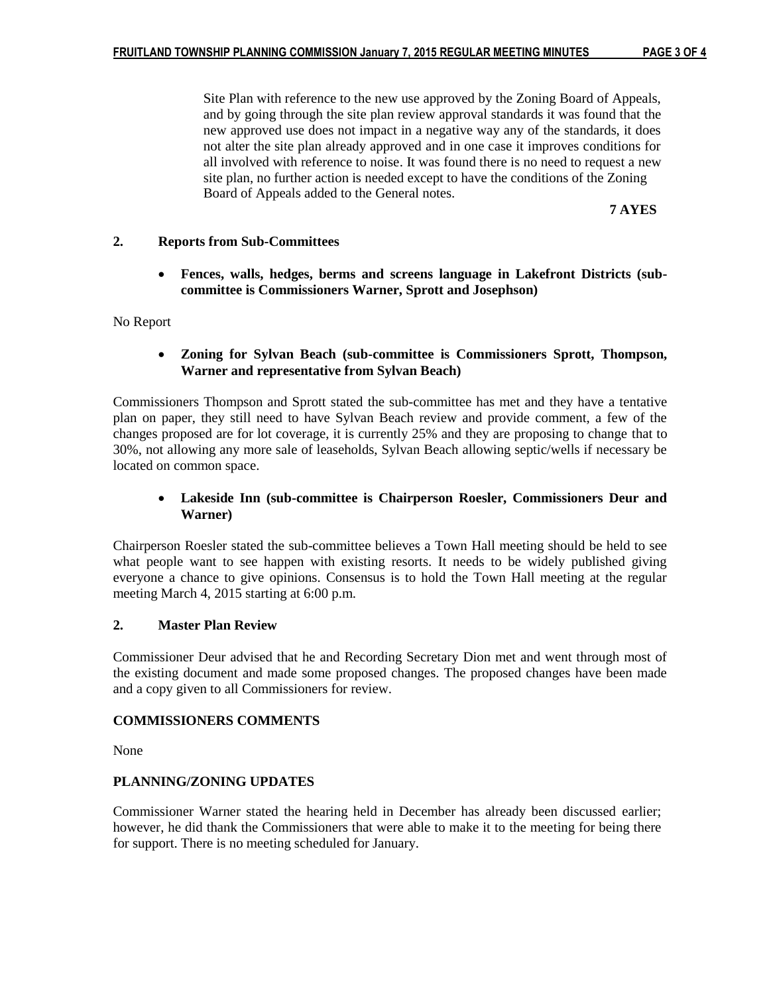Site Plan with reference to the new use approved by the Zoning Board of Appeals, and by going through the site plan review approval standards it was found that the new approved use does not impact in a negative way any of the standards, it does not alter the site plan already approved and in one case it improves conditions for all involved with reference to noise. It was found there is no need to request a new site plan, no further action is needed except to have the conditions of the Zoning Board of Appeals added to the General notes.

**7 AYES**

### **2. Reports from Sub-Committees**

 **Fences, walls, hedges, berms and screens language in Lakefront Districts (subcommittee is Commissioners Warner, Sprott and Josephson)**

No Report

### **Zoning for Sylvan Beach (sub-committee is Commissioners Sprott, Thompson, Warner and representative from Sylvan Beach)**

Commissioners Thompson and Sprott stated the sub-committee has met and they have a tentative plan on paper, they still need to have Sylvan Beach review and provide comment, a few of the changes proposed are for lot coverage, it is currently 25% and they are proposing to change that to 30%, not allowing any more sale of leaseholds, Sylvan Beach allowing septic/wells if necessary be located on common space.

## **Lakeside Inn (sub-committee is Chairperson Roesler, Commissioners Deur and Warner)**

Chairperson Roesler stated the sub-committee believes a Town Hall meeting should be held to see what people want to see happen with existing resorts. It needs to be widely published giving everyone a chance to give opinions. Consensus is to hold the Town Hall meeting at the regular meeting March 4, 2015 starting at 6:00 p.m.

### **2. Master Plan Review**

Commissioner Deur advised that he and Recording Secretary Dion met and went through most of the existing document and made some proposed changes. The proposed changes have been made and a copy given to all Commissioners for review.

### **COMMISSIONERS COMMENTS**

None

### **PLANNING/ZONING UPDATES**

Commissioner Warner stated the hearing held in December has already been discussed earlier; however, he did thank the Commissioners that were able to make it to the meeting for being there for support. There is no meeting scheduled for January.